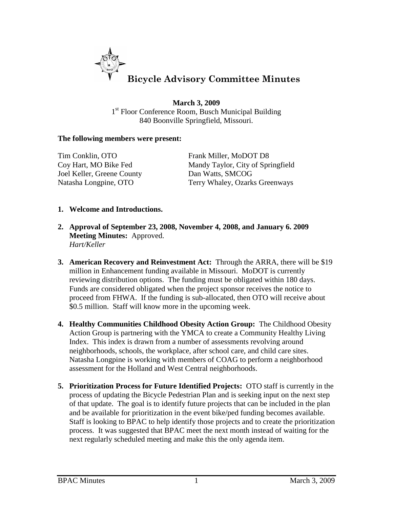

**March 3, 2009** 1<sup>st</sup> Floor Conference Room, Busch Municipal Building 840 Boonville Springfield, Missouri.

## **The following members were present:**

Tim Conklin, OTO Frank Miller, MoDOT D8 Joel Keller, Greene County Dan Watts, SMCOG

Coy Hart, MO Bike Fed Mandy Taylor, City of Springfield Natasha Longpine, OTO Terry Whaley, Ozarks Greenways

## **1. Welcome and Introductions.**

- **2. Approval of September 23, 2008, November 4, 2008, and January 6. 2009 Meeting Minutes:** Approved. *Hart/Keller*
- **3. American Recovery and Reinvestment Act:** Through the ARRA, there will be \$19 million in Enhancement funding available in Missouri. MoDOT is currently reviewing distribution options. The funding must be obligated within 180 days. Funds are considered obligated when the project sponsor receives the notice to proceed from FHWA. If the funding is sub-allocated, then OTO will receive about \$0.5 million. Staff will know more in the upcoming week.
- **4. Healthy Communities Childhood Obesity Action Group:** The Childhood Obesity Action Group is partnering with the YMCA to create a Community Healthy Living Index. This index is drawn from a number of assessments revolving around neighborhoods, schools, the workplace, after school care, and child care sites. Natasha Longpine is working with members of COAG to perform a neighborhood assessment for the Holland and West Central neighborhoods.
- **5. Prioritization Process for Future Identified Projects:** OTO staff is currently in the process of updating the Bicycle Pedestrian Plan and is seeking input on the next step of that update. The goal is to identify future projects that can be included in the plan and be available for prioritization in the event bike/ped funding becomes available. Staff is looking to BPAC to help identify those projects and to create the prioritization process. It was suggested that BPAC meet the next month instead of waiting for the next regularly scheduled meeting and make this the only agenda item.